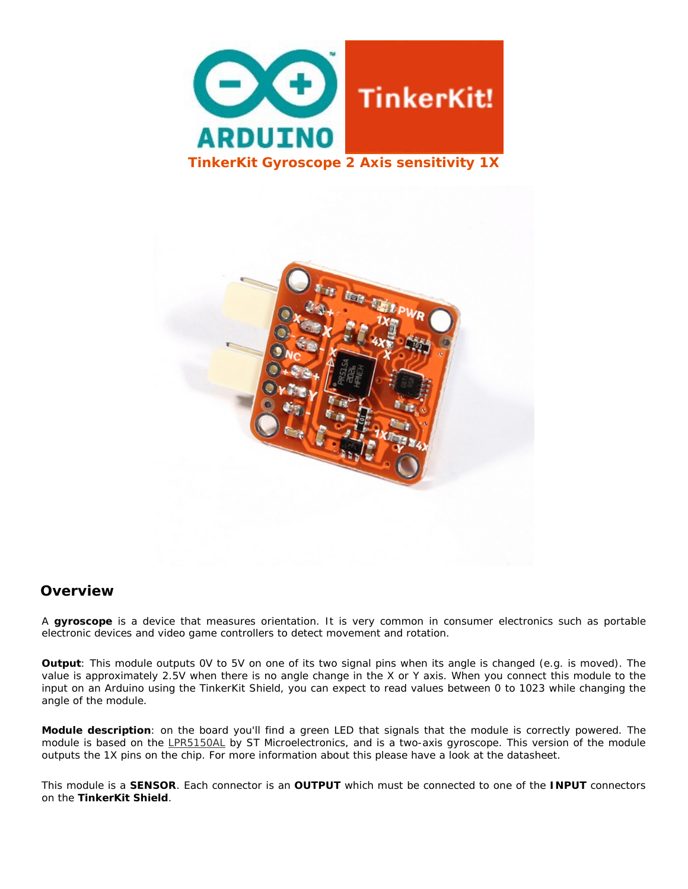



## **Overview**

A **gyroscope** is a device that measures orientation. It is very common in consumer electronics such as portable electronic devices and video game controllers to detect movement and rotation.

**Output**: This module outputs 0V to 5V on one of its two signal pins when its angle is changed (e.g. is moved). The value is approximately 2.5V when there is no angle change in the X or Y axis. When you connect this module to the input on an Arduino using the TinkerKit Shield, you can expect to read values between 0 to 1023 while changing the angle of the module.

**Module description**: on the board you'll find a green LED that signals that the module is correctly powered. The module is based on the LPR5150AL by ST Microelectronics, and is a two-axis gyroscope. This version of the module outputs the 1X pins on the chip. For more information about this please have a look at the datasheet.

This module is a **SENSOR**. Each connector is an **OUTPUT** which must be connected to one of the **INPUT** connectors on the **TinkerKit Shield**.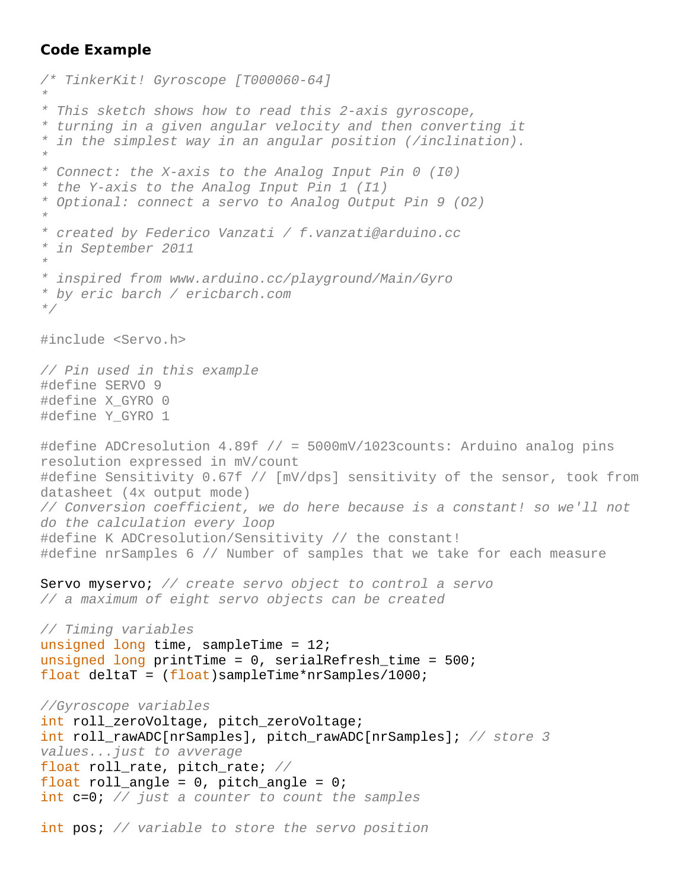## **Code Example**

```
/* TinkerKit! Gyroscope [T000060-64] 
* 
* This sketch shows how to read this 2-axis gyroscope, 
* turning in a given angular velocity and then converting it 
* in the simplest way in an angular position (/inclination). 
* 
* Connect: the X-axis to the Analog Input Pin 0 (I0) 
* the Y-axis to the Analog Input Pin 1 (I1) 
* Optional: connect a servo to Analog Output Pin 9 (O2) 
* 
* created by Federico Vanzati / f.vanzati@arduino.cc 
* in September 2011 
* 
* inspired from www.arduino.cc/playground/Main/Gyro 
* by eric barch / ericbarch.com 
*/
#include <Servo.h> 
// Pin used in this example
#define SERVO 9
#define X_GYRO 0
#define Y_GYRO 1
#define ADCresolution 4.89f // = 5000mV/1023counts: Arduino analog pins 
resolution expressed in mV/count
#define Sensitivity 0.67f // [mV/dps] sensitivity of the sensor, took from 
datasheet (4x output mode)
// Conversion coefficient, we do here because is a constant! so we'll not 
do the calculation every loop
#define K ADCresolution/Sensitivity // the constant!
#define nrSamples 6 // Number of samples that we take for each measure
Servo myservo; // create servo object to control a servo 
// a maximum of eight servo objects can be created 
// Timing variables
unsigned long time, sampleTime = 12iunsigned long printTime = 0, serialRefresh_time = 500; 
float deltaT = (float)sampleTime*nrSamples/1000;//Gyroscope variables 
int roll_zeroVoltage, pitch_zeroVoltage; 
int roll_rawADC[nrSamples], pitch_rawADC[nrSamples]; // store 3 
values...just to avverage
float roll_rate, pitch_rate; //
float roll_angle = 0, pitch_angle = 0;
int c=0; // just a counter to count the samples
int pos; // variable to store the servo position
```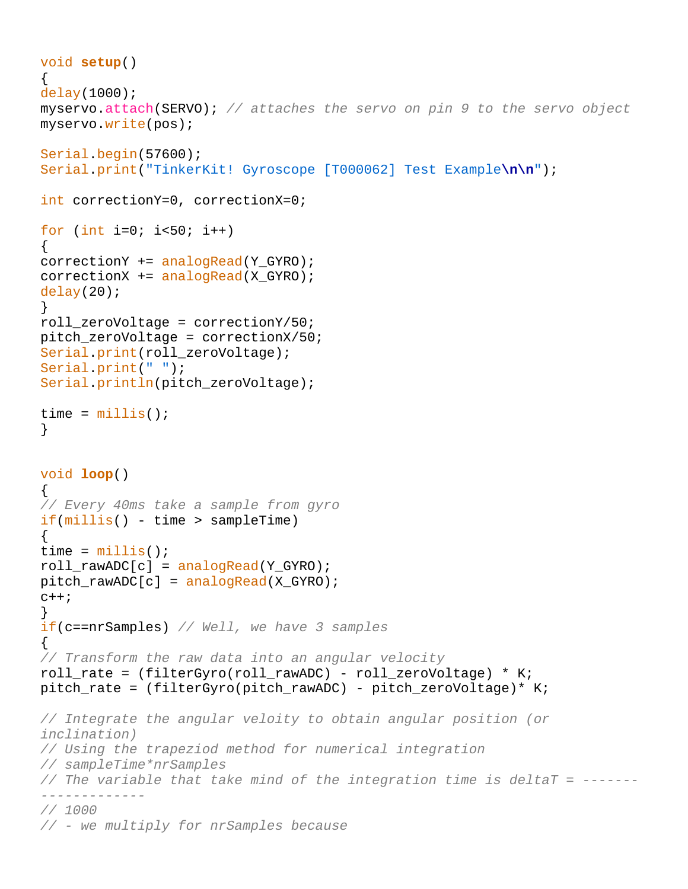```
void setup() 
{ 
delay(1000); 
myservo.attach(SERVO); // attaches the servo on pin 9 to the servo object 
myservo.write(pos); 
Serial.begin(57600); 
Serial.print("TinkerKit! Gyroscope [T000062] Test Example\n\n"); 
int correctionY=0, correctionX=0; 
for (int i=0; i<50; i++){ 
correctionY += analogRead(Y_GYRO); 
correctionX += analogRead(X_GYRO); 
delay(20);
} 
roll zeroVoltage = correctionY/50;
pitch_zeroVoltage = correctionX/50; 
Serial.print(roll_zeroVoltage);
Serial.print(" "); 
Serial.println(pitch_zeroVoltage); 
time = millis();
} 
void loop() 
{ 
// Every 40ms take a sample from gyro
if(millis() - time > sampleTime) 
\{time = millis();
roll\_rawADC[c] = analogRead(Y_GYRO);pitch_rawADC[c] = analogRead(X_GYRO); 
C++;} 
if(c==nrSamples) // Well, we have 3 samples
\{// Transform the raw data into an angular velocity
roll rate = (filterGyro(roll rawADC) - roll zeroVoltage) * K;
pitch_rate = (filterGyro(pitch_rawADC) - pitch_zeroVoltage)* K; 
// Integrate the angular veloity to obtain angular position (or 
inclination)
// Using the trapeziod method for numerical integration
// sampleTime*nrSamples
// The variable that take mind of the integration time is deltaT = -------
------------- 
// 1000
// - we multiply for nrSamples because
```